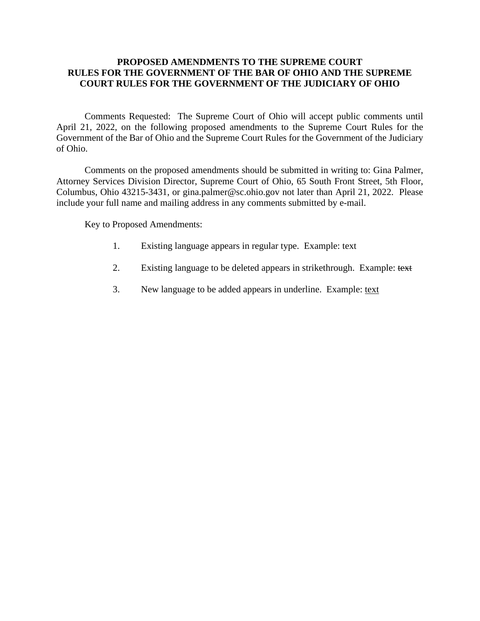### **PROPOSED AMENDMENTS TO THE SUPREME COURT RULES FOR THE GOVERNMENT OF THE BAR OF OHIO AND THE SUPREME COURT RULES FOR THE GOVERNMENT OF THE JUDICIARY OF OHIO**

Comments Requested: The Supreme Court of Ohio will accept public comments until April 21, 2022, on the following proposed amendments to the Supreme Court Rules for the Government of the Bar of Ohio and the Supreme Court Rules for the Government of the Judiciary of Ohio.

Comments on the proposed amendments should be submitted in writing to: Gina Palmer, Attorney Services Division Director, Supreme Court of Ohio, 65 South Front Street, 5th Floor, Columbus, Ohio 43215-3431, or gina.palmer@sc.ohio.gov not later than April 21, 2022. Please include your full name and mailing address in any comments submitted by e-mail.

Key to Proposed Amendments:

- 1. Existing language appears in regular type. Example: text
- 2. Existing language to be deleted appears in strikethrough. Example: text
- 3. New language to be added appears in underline. Example: text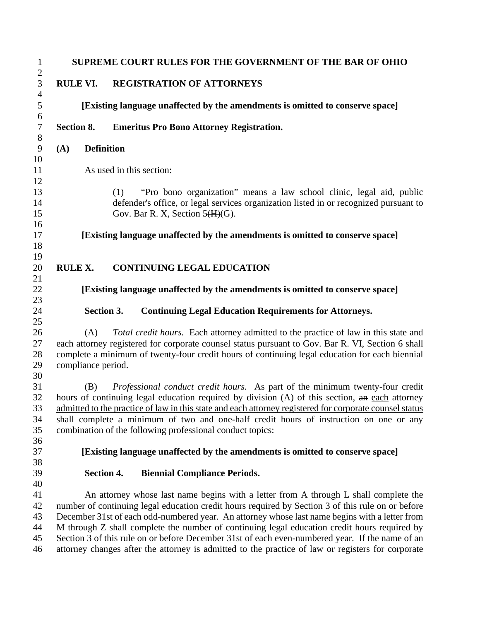|                           | <b>SUPREME COURT RULES FOR THE GOVERNMENT OF THE BAR OF OHIO</b>                                                                                                                                                                                                                                                                                                                                                                                                                               |
|---------------------------|------------------------------------------------------------------------------------------------------------------------------------------------------------------------------------------------------------------------------------------------------------------------------------------------------------------------------------------------------------------------------------------------------------------------------------------------------------------------------------------------|
| <b>RULE VI.</b>           | <b>REGISTRATION OF ATTORNEYS</b>                                                                                                                                                                                                                                                                                                                                                                                                                                                               |
|                           | [Existing language unaffected by the amendments is omitted to conserve space]                                                                                                                                                                                                                                                                                                                                                                                                                  |
| Section 8.                | <b>Emeritus Pro Bono Attorney Registration.</b>                                                                                                                                                                                                                                                                                                                                                                                                                                                |
| (A)                       | <b>Definition</b>                                                                                                                                                                                                                                                                                                                                                                                                                                                                              |
|                           | As used in this section:                                                                                                                                                                                                                                                                                                                                                                                                                                                                       |
|                           | "Pro bono organization" means a law school clinic, legal aid, public<br>(1)<br>defender's office, or legal services organization listed in or recognized pursuant to<br>Gov. Bar R. X, Section $5(H)(G)$ .                                                                                                                                                                                                                                                                                     |
|                           | [Existing language unaffected by the amendments is omitted to conserve space]                                                                                                                                                                                                                                                                                                                                                                                                                  |
| <b>RULE X.</b>            | <b>CONTINUING LEGAL EDUCATION</b>                                                                                                                                                                                                                                                                                                                                                                                                                                                              |
|                           | [Existing language unaffected by the amendments is omitted to conserve space]                                                                                                                                                                                                                                                                                                                                                                                                                  |
|                           | Section 3.<br><b>Continuing Legal Education Requirements for Attorneys.</b>                                                                                                                                                                                                                                                                                                                                                                                                                    |
| (A)<br>compliance period. | Total credit hours. Each attorney admitted to the practice of law in this state and<br>each attorney registered for corporate counsel status pursuant to Gov. Bar R. VI, Section 6 shall<br>complete a minimum of twenty-four credit hours of continuing legal education for each biennial                                                                                                                                                                                                     |
| (B)                       | Professional conduct credit hours. As part of the minimum twenty-four credit<br>hours of continuing legal education required by division (A) of this section, an each attorney<br>admitted to the practice of law in this state and each attorney registered for corporate counsel status<br>shall complete a minimum of two and one-half credit hours of instruction on one or any<br>combination of the following professional conduct topics:                                               |
|                           | [Existing language unaffected by the amendments is omitted to conserve space]                                                                                                                                                                                                                                                                                                                                                                                                                  |
|                           | <b>Biennial Compliance Periods.</b><br>Section 4.                                                                                                                                                                                                                                                                                                                                                                                                                                              |
|                           | An attorney whose last name begins with a letter from A through L shall complete the<br>number of continuing legal education credit hours required by Section 3 of this rule on or before<br>December 31st of each odd-numbered year. An attorney whose last name begins with a letter from<br>M through Z shall complete the number of continuing legal education credit hours required by<br>Section 3 of this rule on or before December 31st of each even-numbered year. If the name of an |
|                           | attorney changes after the attorney is admitted to the practice of law or registers for corporate                                                                                                                                                                                                                                                                                                                                                                                              |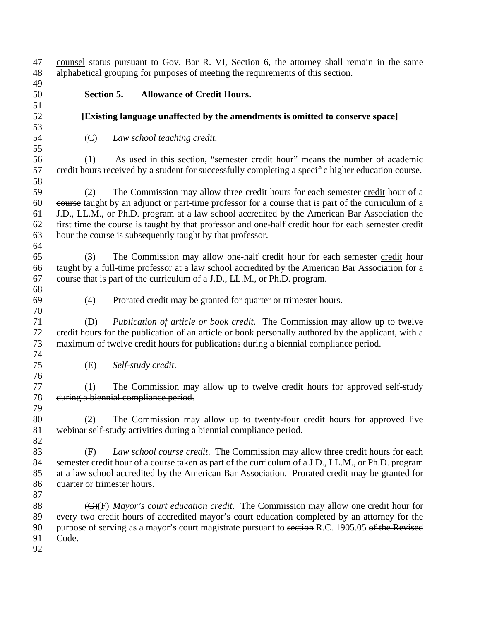counsel status pursuant to Gov. Bar R. VI, Section 6, the attorney shall remain in the same alphabetical grouping for purposes of meeting the requirements of this section. **Section 5. Allowance of Credit Hours. [Existing language unaffected by the amendments is omitted to conserve space]** (C) *Law school teaching credit.*  (1) As used in this section, "semester credit hour" means the number of academic credit hours received by a student for successfully completing a specific higher education course. 59 (2) The Commission may allow three credit hours for each semester credit hour  $\theta$  a course taught by an adjunct or part-time professor for a course that is part of the curriculum of a J.D., LL.M., or Ph.D. program at a law school accredited by the American Bar Association the first time the course is taught by that professor and one-half credit hour for each semester credit hour the course is subsequently taught by that professor. (3) The Commission may allow one-half credit hour for each semester credit hour taught by a full-time professor at a law school accredited by the American Bar Association for a course that is part of the curriculum of a J.D., LL.M., or Ph.D. program. (4) Prorated credit may be granted for quarter or trimester hours. (D) *Publication of article or book credit*. The Commission may allow up to twelve credit hours for the publication of an article or book personally authored by the applicant, with a maximum of twelve credit hours for publications during a biennial compliance period. (E) *Self-study credit*. (1) The Commission may allow up to twelve credit hours for approved self-study during a biennial compliance period. (2) The Commission may allow up to twenty-four credit hours for approved live webinar self-study activities during a biennial compliance period. (F) *Law school course credit*. The Commission may allow three credit hours for each semester credit hour of a course taken as part of the curriculum of a J.D., LL.M., or Ph.D. program at a law school accredited by the American Bar Association. Prorated credit may be granted for quarter or trimester hours. **(G)(F)** *Mayor's court education credit*. The Commission may allow one credit hour for every two credit hours of accredited mayor's court education completed by an attorney for the 90 purpose of serving as a mayor's court magistrate pursuant to section R.C. 1905.05 of the Revised Code.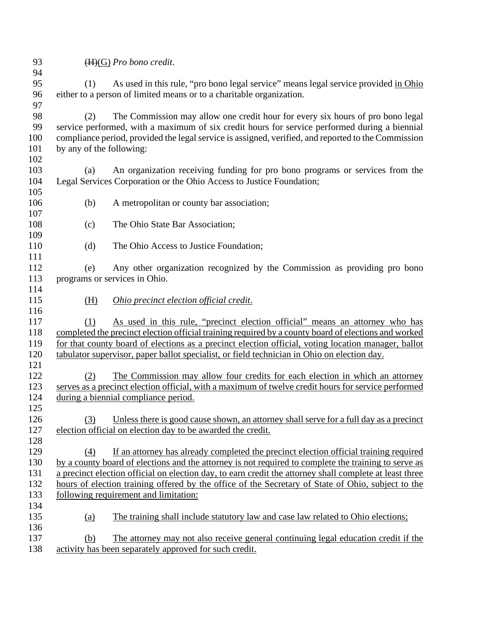- 
- (H)(G) *Pro bono credit*.

 (1) As used in this rule, "pro bono legal service" means legal service provided in Ohio either to a person of limited means or to a charitable organization. 

 (2) The Commission may allow one credit hour for every six hours of pro bono legal service performed, with a maximum of six credit hours for service performed during a biennial compliance period, provided the legal service is assigned, verified, and reported to the Commission by any of the following: 

 (a) An organization receiving funding for pro bono programs or services from the Legal Services Corporation or the Ohio Access to Justice Foundation;

- (b) A metropolitan or county bar association;
- (c) The Ohio State Bar Association;
- (d) The Ohio Access to Justice Foundation;

 (e) Any other organization recognized by the Commission as providing pro bono programs or services in Ohio. 

(H) *Ohio precinct election official credit*.

 (1) As used in this rule, "precinct election official" means an attorney who has completed the precinct election official training required by a county board of elections and worked for that county board of elections as a precinct election official, voting location manager, ballot tabulator supervisor, paper ballot specialist, or field technician in Ohio on election day. 

 (2) The Commission may allow four credits for each election in which an attorney serves as a precinct election official, with a maximum of twelve credit hours for service performed during a biennial compliance period.

 (3) Unless there is good cause shown, an attorney shall serve for a full day as a precinct election official on election day to be awarded the credit.

 (4) If an attorney has already completed the precinct election official training required by a county board of elections and the attorney is not required to complete the training to serve as a precinct election official on election day, to earn credit the attorney shall complete at least three hours of election training offered by the office of the Secretary of State of Ohio, subject to the following requirement and limitation: 

- (a) The training shall include statutory law and case law related to Ohio elections;
- (b) The attorney may not also receive general continuing legal education credit if the activity has been separately approved for such credit.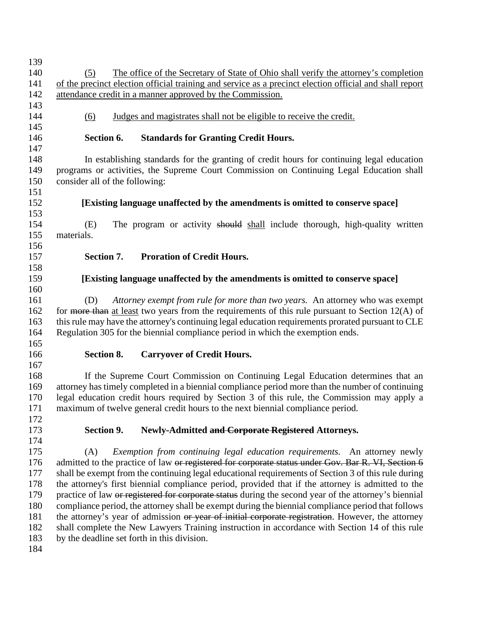| 139 |                                                                                                                                                                                                     |  |  |
|-----|-----------------------------------------------------------------------------------------------------------------------------------------------------------------------------------------------------|--|--|
| 140 | The office of the Secretary of State of Ohio shall verify the attorney's completion<br>(5)                                                                                                          |  |  |
| 141 | of the precinct election official training and service as a precinct election official and shall report                                                                                             |  |  |
| 142 | attendance credit in a manner approved by the Commission.                                                                                                                                           |  |  |
| 143 |                                                                                                                                                                                                     |  |  |
| 144 | Judges and magistrates shall not be eligible to receive the credit.<br>(6)                                                                                                                          |  |  |
| 145 |                                                                                                                                                                                                     |  |  |
| 146 | Section 6.<br><b>Standards for Granting Credit Hours.</b>                                                                                                                                           |  |  |
| 147 |                                                                                                                                                                                                     |  |  |
| 148 | In establishing standards for the granting of credit hours for continuing legal education                                                                                                           |  |  |
| 149 | programs or activities, the Supreme Court Commission on Continuing Legal Education shall                                                                                                            |  |  |
| 150 | consider all of the following:                                                                                                                                                                      |  |  |
| 151 |                                                                                                                                                                                                     |  |  |
| 152 | [Existing language unaffected by the amendments is omitted to conserve space]                                                                                                                       |  |  |
| 153 |                                                                                                                                                                                                     |  |  |
| 154 | The program or activity should shall include thorough, high-quality written<br>(E)                                                                                                                  |  |  |
| 155 | materials.                                                                                                                                                                                          |  |  |
| 156 |                                                                                                                                                                                                     |  |  |
| 157 | Section 7.<br><b>Proration of Credit Hours.</b>                                                                                                                                                     |  |  |
| 158 |                                                                                                                                                                                                     |  |  |
| 159 | [Existing language unaffected by the amendments is omitted to conserve space]                                                                                                                       |  |  |
| 160 |                                                                                                                                                                                                     |  |  |
| 161 | Attorney exempt from rule for more than two years. An attorney who was exempt<br>(D)                                                                                                                |  |  |
| 162 | for more than at least two years from the requirements of this rule pursuant to Section $12(A)$ of                                                                                                  |  |  |
| 163 | this rule may have the attorney's continuing legal education requirements prorated pursuant to CLE                                                                                                  |  |  |
| 164 | Regulation 305 for the biennial compliance period in which the exemption ends.                                                                                                                      |  |  |
| 165 |                                                                                                                                                                                                     |  |  |
| 166 | <b>Carryover of Credit Hours.</b><br>Section 8.                                                                                                                                                     |  |  |
| 167 |                                                                                                                                                                                                     |  |  |
| 168 | If the Supreme Court Commission on Continuing Legal Education determines that an                                                                                                                    |  |  |
| 169 | attorney has timely completed in a biennial compliance period more than the number of continuing                                                                                                    |  |  |
| 170 | legal education credit hours required by Section 3 of this rule, the Commission may apply a                                                                                                         |  |  |
| 171 | maximum of twelve general credit hours to the next biennial compliance period.                                                                                                                      |  |  |
| 172 |                                                                                                                                                                                                     |  |  |
| 173 | Section 9.<br>Newly-Admitted and Corporate Registered Attorneys.                                                                                                                                    |  |  |
| 174 |                                                                                                                                                                                                     |  |  |
| 175 | Exemption from continuing legal education requirements. An attorney newly<br>(A)                                                                                                                    |  |  |
| 176 | admitted to the practice of law or registered for corporate status under Gov. Bar R. VI, Section 6                                                                                                  |  |  |
| 177 | shall be exempt from the continuing legal educational requirements of Section 3 of this rule during                                                                                                 |  |  |
| 178 | the attorney's first biennial compliance period, provided that if the attorney is admitted to the                                                                                                   |  |  |
| 179 | practice of law or registered for corporate status during the second year of the attorney's biennial                                                                                                |  |  |
| 180 | compliance period, the attorney shall be exempt during the biennial compliance period that follows                                                                                                  |  |  |
| 181 |                                                                                                                                                                                                     |  |  |
| 182 | the attorney's year of admission or year of initial corporate registration. However, the attorney<br>shall complete the New Lawyers Training instruction in accordance with Section 14 of this rule |  |  |
| 183 | by the deadline set forth in this division.                                                                                                                                                         |  |  |
| 184 |                                                                                                                                                                                                     |  |  |
|     |                                                                                                                                                                                                     |  |  |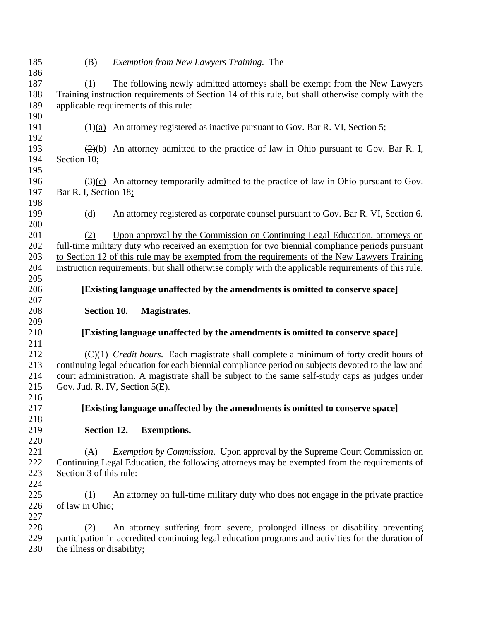| 185        | (B)                        | Exemption from New Lawyers Training. The                                                                                                |
|------------|----------------------------|-----------------------------------------------------------------------------------------------------------------------------------------|
| 186        |                            |                                                                                                                                         |
| 187        | (1)                        | The following newly admitted attorneys shall be exempt from the New Lawyers                                                             |
| 188        |                            | Training instruction requirements of Section 14 of this rule, but shall otherwise comply with the                                       |
| 189        |                            | applicable requirements of this rule:                                                                                                   |
| 190        |                            |                                                                                                                                         |
| 191        |                            | $\left(\frac{H}{a}\right)$ An attorney registered as inactive pursuant to Gov. Bar R. VI, Section 5;                                    |
| 192        |                            |                                                                                                                                         |
| 193        |                            | $\left(\frac{2}{2}\right)$ An attorney admitted to the practice of law in Ohio pursuant to Gov. Bar R. I,                               |
| 194        | Section 10;                |                                                                                                                                         |
| 195        |                            |                                                                                                                                         |
| 196        |                            | $\frac{(\frac{3}{\sqrt{2}})(c)}{(\frac{3}{\sqrt{2}})}$ An attorney temporarily admitted to the practice of law in Ohio pursuant to Gov. |
| 197        | Bar R. I, Section 18;      |                                                                                                                                         |
| 198        |                            |                                                                                                                                         |
| 199        | <u>(d)</u>                 | An attorney registered as corporate counsel pursuant to Gov. Bar R. VI, Section 6.                                                      |
| 200        |                            |                                                                                                                                         |
| 201        | (2)                        | Upon approval by the Commission on Continuing Legal Education, attorneys on                                                             |
| 202        |                            | full-time military duty who received an exemption for two biennial compliance periods pursuant                                          |
| 203        |                            | to Section 12 of this rule may be exempted from the requirements of the New Lawyers Training                                            |
| 204        |                            | instruction requirements, but shall otherwise comply with the applicable requirements of this rule.                                     |
| 205        |                            |                                                                                                                                         |
| 206        |                            | [Existing language unaffected by the amendments is omitted to conserve space]                                                           |
| 207        |                            |                                                                                                                                         |
|            |                            |                                                                                                                                         |
| 208        |                            | Section 10.<br>Magistrates.                                                                                                             |
| 209        |                            |                                                                                                                                         |
| 210        |                            | [Existing language unaffected by the amendments is omitted to conserve space]                                                           |
| 211        |                            |                                                                                                                                         |
| 212        |                            | $(C)(1)$ <i>Credit hours.</i> Each magistrate shall complete a minimum of forty credit hours of                                         |
| 213        |                            | continuing legal education for each biennial compliance period on subjects devoted to the law and                                       |
| 214        |                            | court administration. A magistrate shall be subject to the same self-study caps as judges under                                         |
| 215        |                            | Gov. Jud. R. IV, Section $5(E)$ .                                                                                                       |
| 216        |                            |                                                                                                                                         |
| 217        |                            | [Existing language unaffected by the amendments is omitted to conserve space]                                                           |
| 218        |                            |                                                                                                                                         |
| 219        |                            | Section 12.<br><b>Exemptions.</b>                                                                                                       |
| 220        |                            |                                                                                                                                         |
| 221        | (A)                        | <i>Exemption by Commission.</i> Upon approval by the Supreme Court Commission on                                                        |
| 222        |                            | Continuing Legal Education, the following attorneys may be exempted from the requirements of                                            |
| 223        | Section 3 of this rule:    |                                                                                                                                         |
| 224        |                            |                                                                                                                                         |
| 225        | (1)                        | An attorney on full-time military duty who does not engage in the private practice                                                      |
| 226        | of law in Ohio;            |                                                                                                                                         |
| 227        |                            |                                                                                                                                         |
| 228        | (2)                        | An attorney suffering from severe, prolonged illness or disability preventing                                                           |
| 229<br>230 | the illness or disability; | participation in accredited continuing legal education programs and activities for the duration of                                      |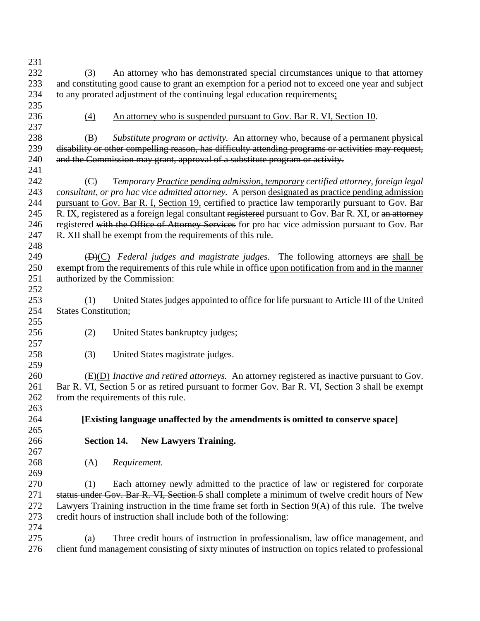| 231 |                                                                                                                |  |  |  |
|-----|----------------------------------------------------------------------------------------------------------------|--|--|--|
| 232 | An attorney who has demonstrated special circumstances unique to that attorney<br>(3)                          |  |  |  |
| 233 | and constituting good cause to grant an exemption for a period not to exceed one year and subject              |  |  |  |
| 234 | to any prorated adjustment of the continuing legal education requirements;                                     |  |  |  |
| 235 |                                                                                                                |  |  |  |
| 236 | (4)<br>An attorney who is suspended pursuant to Gov. Bar R. VI, Section 10.                                    |  |  |  |
| 237 |                                                                                                                |  |  |  |
| 238 | <i>Substitute program or activity.</i> An attorney who, because of a permanent physical<br>(B)                 |  |  |  |
| 239 | disability or other compelling reason, has difficulty attending programs or activities may request,            |  |  |  |
| 240 | and the Commission may grant, approval of a substitute program or activity.                                    |  |  |  |
| 241 |                                                                                                                |  |  |  |
| 242 | <b>Temporary Practice pending admission, temporary certified attorney, foreign legal</b><br>$\Theta$           |  |  |  |
| 243 | consultant, or pro hac vice admitted attorney. A person designated as practice pending admission               |  |  |  |
| 244 |                                                                                                                |  |  |  |
|     | pursuant to Gov. Bar R. I, Section 19, certified to practice law temporarily pursuant to Gov. Bar              |  |  |  |
| 245 | R. IX, registered as a foreign legal consultant registered pursuant to Gov. Bar R. XI, or an attorney          |  |  |  |
| 246 | registered with the Office of Attorney Services for pro hac vice admission pursuant to Gov. Bar                |  |  |  |
| 247 | R. XII shall be exempt from the requirements of this rule.                                                     |  |  |  |
| 248 |                                                                                                                |  |  |  |
| 249 | $\overline{(D)(C)}$ Federal judges and magistrate judges. The following attorneys are shall be                 |  |  |  |
| 250 | exempt from the requirements of this rule while in office upon notification from and in the manner             |  |  |  |
| 251 | authorized by the Commission:                                                                                  |  |  |  |
| 252 |                                                                                                                |  |  |  |
| 253 | United States judges appointed to office for life pursuant to Article III of the United<br>(1)                 |  |  |  |
| 254 | <b>States Constitution;</b>                                                                                    |  |  |  |
| 255 |                                                                                                                |  |  |  |
| 256 | (2)<br>United States bankruptcy judges;                                                                        |  |  |  |
| 257 |                                                                                                                |  |  |  |
| 258 | (3)<br>United States magistrate judges.                                                                        |  |  |  |
| 259 |                                                                                                                |  |  |  |
| 260 | $\overline{(E)(D)}$ <i>Inactive and retired attorneys.</i> An attorney registered as inactive pursuant to Gov. |  |  |  |
| 261 | Bar R. VI, Section 5 or as retired pursuant to former Gov. Bar R. VI, Section 3 shall be exempt                |  |  |  |
| 262 | from the requirements of this rule.                                                                            |  |  |  |
| 263 |                                                                                                                |  |  |  |
| 264 | [Existing language unaffected by the amendments is omitted to conserve space]                                  |  |  |  |
| 265 |                                                                                                                |  |  |  |
| 266 | <b>Section 14.</b><br><b>New Lawyers Training.</b>                                                             |  |  |  |
| 267 |                                                                                                                |  |  |  |
| 268 | (A)<br>Requirement.                                                                                            |  |  |  |
| 269 |                                                                                                                |  |  |  |
| 270 | Each attorney newly admitted to the practice of law or registered for corporate<br>(1)                         |  |  |  |
| 271 | status under Gov. Bar R. VI, Section 5 shall complete a minimum of twelve credit hours of New                  |  |  |  |
| 272 | Lawyers Training instruction in the time frame set forth in Section 9(A) of this rule. The twelve              |  |  |  |
| 273 | credit hours of instruction shall include both of the following:                                               |  |  |  |
| 274 |                                                                                                                |  |  |  |
| 275 | Three credit hours of instruction in professionalism, law office management, and<br>(a)                        |  |  |  |
| 276 | client fund management consisting of sixty minutes of instruction on topics related to professional            |  |  |  |
|     |                                                                                                                |  |  |  |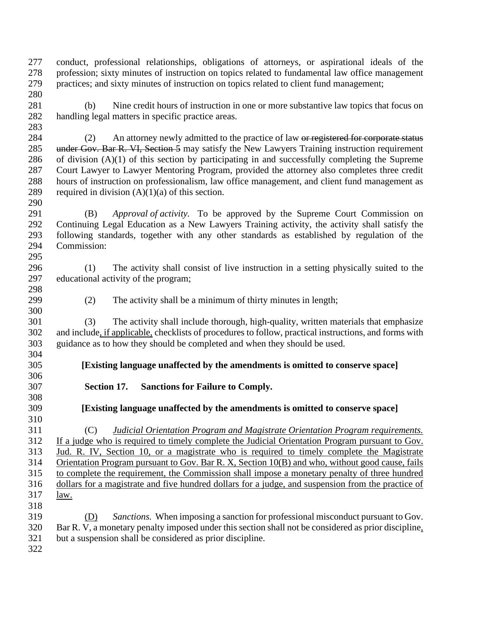conduct, professional relationships, obligations of attorneys, or aspirational ideals of the profession; sixty minutes of instruction on topics related to fundamental law office management practices; and sixty minutes of instruction on topics related to client fund management; 

 (b) Nine credit hours of instruction in one or more substantive law topics that focus on handling legal matters in specific practice areas. 

284 (2) An attorney newly admitted to the practice of law or registered for corporate status 285 under Gov. Bar R. VI, Section 5 may satisfy the New Lawyers Training instruction requirement of division (A)(1) of this section by participating in and successfully completing the Supreme Court Lawyer to Lawyer Mentoring Program, provided the attorney also completes three credit hours of instruction on professionalism, law office management, and client fund management as 289 required in division  $(A)(1)(a)$  of this section.

 (B) *Approval of activity.* To be approved by the Supreme Court Commission on Continuing Legal Education as a New Lawyers Training activity, the activity shall satisfy the following standards, together with any other standards as established by regulation of the Commission: 

 (1) The activity shall consist of live instruction in a setting physically suited to the educational activity of the program; 

(2) The activity shall be a minimum of thirty minutes in length;

 (3) The activity shall include thorough, high-quality, written materials that emphasize and include, if applicable, checklists of procedures to follow, practical instructions, and forms with guidance as to how they should be completed and when they should be used. 

- **[Existing language unaffected by the amendments is omitted to conserve space]**
- **Section 17. Sanctions for Failure to Comply.**

 **[Existing language unaffected by the amendments is omitted to conserve space]** 

 (C) *Judicial Orientation Program and Magistrate Orientation Program requirements.*  If a judge who is required to timely complete the Judicial Orientation Program pursuant to Gov. Jud. R. IV, Section 10, or a magistrate who is required to timely complete the Magistrate Orientation Program pursuant to Gov. Bar R. X, Section 10(B) and who, without good cause, fails to complete the requirement, the Commission shall impose a monetary penalty of three hundred dollars for a magistrate and five hundred dollars for a judge, and suspension from the practice of law. 

- (D) *Sanctions.* When imposing a sanction for professional misconduct pursuant to Gov. Bar R. V, a monetary penalty imposed under this section shall not be considered as prior discipline, but a suspension shall be considered as prior discipline.
-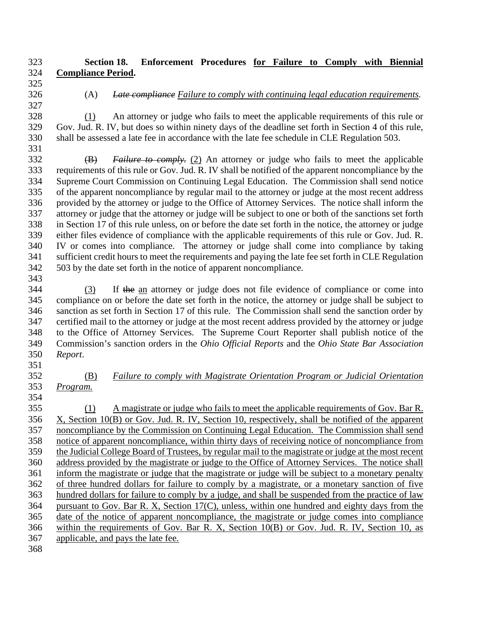# **Section 18. Enforcement Procedures for Failure to Comply with Biennial Compliance Period.**

# (A) *Late compliance Failure to comply with continuing legal education requirements.*

 (1) An attorney or judge who fails to meet the applicable requirements of this rule or Gov. Jud. R. IV, but does so within ninety days of the deadline set forth in Section 4 of this rule, shall be assessed a late fee in accordance with the late fee schedule in CLE Regulation 503. 

 (B) *Failure to comply.* (2) An attorney or judge who fails to meet the applicable requirements of this rule or Gov. Jud. R. IV shall be notified of the apparent noncompliance by the Supreme Court Commission on Continuing Legal Education. The Commission shall send notice of the apparent noncompliance by regular mail to the attorney or judge at the most recent address provided by the attorney or judge to the Office of Attorney Services. The notice shall inform the attorney or judge that the attorney or judge will be subject to one or both of the sanctions set forth in Section 17 of this rule unless, on or before the date set forth in the notice, the attorney or judge either files evidence of compliance with the applicable requirements of this rule or Gov. Jud. R. IV or comes into compliance. The attorney or judge shall come into compliance by taking sufficient credit hours to meet the requirements and paying the late fee set forth in CLE Regulation 503 by the date set forth in the notice of apparent noncompliance.

 (3) If the an attorney or judge does not file evidence of compliance or come into compliance on or before the date set forth in the notice, the attorney or judge shall be subject to sanction as set forth in Section 17 of this rule. The Commission shall send the sanction order by certified mail to the attorney or judge at the most recent address provided by the attorney or judge to the Office of Attorney Services. The Supreme Court Reporter shall publish notice of the Commission's sanction orders in the *Ohio Official Reports* and the *Ohio State Bar Association Report*.

- (B) *Failure to comply with Magistrate Orientation Program or Judicial Orientation*
- *Program.*

 (1) A magistrate or judge who fails to meet the applicable requirements of Gov. Bar R. X, Section 10(B) or Gov. Jud. R. IV, Section 10, respectively, shall be notified of the apparent noncompliance by the Commission on Continuing Legal Education. The Commission shall send notice of apparent noncompliance, within thirty days of receiving notice of noncompliance from the Judicial College Board of Trustees, by regular mail to the magistrate or judge at the most recent address provided by the magistrate or judge to the Office of Attorney Services. The notice shall inform the magistrate or judge that the magistrate or judge will be subject to a monetary penalty of three hundred dollars for failure to comply by a magistrate, or a monetary sanction of five hundred dollars for failure to comply by a judge, and shall be suspended from the practice of law pursuant to Gov. Bar R. X, Section 17(C), unless, within one hundred and eighty days from the date of the notice of apparent noncompliance, the magistrate or judge comes into compliance within the requirements of Gov. Bar R. X, Section 10(B) or Gov. Jud. R. IV, Section 10, as applicable, and pays the late fee.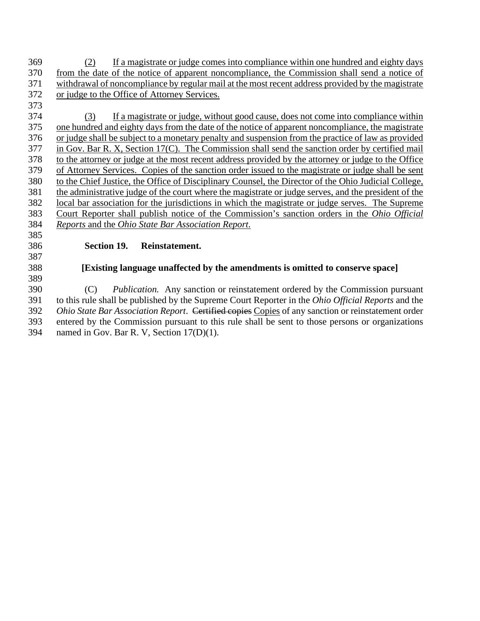(2) If a magistrate or judge comes into compliance within one hundred and eighty days from the date of the notice of apparent noncompliance, the Commission shall send a notice of withdrawal of noncompliance by regular mail at the most recent address provided by the magistrate or judge to the Office of Attorney Services.

 (3) If a magistrate or judge, without good cause, does not come into compliance within one hundred and eighty days from the date of the notice of apparent noncompliance, the magistrate or judge shall be subject to a monetary penalty and suspension from the practice of law as provided in Gov. Bar R. X, Section 17(C). The Commission shall send the sanction order by certified mail 378 to the attorney or judge at the most recent address provided by the attorney or judge to the Office of Attorney Services. Copies of the sanction order issued to the magistrate or judge shall be sent to the Chief Justice, the Office of Disciplinary Counsel, the Director of the Ohio Judicial College, the administrative judge of the court where the magistrate or judge serves, and the president of the local bar association for the jurisdictions in which the magistrate or judge serves. The Supreme Court Reporter shall publish notice of the Commission's sanction orders in the *Ohio Official Reports* and the *Ohio State Bar Association Report*.

## **Section 19. Reinstatement.**

# **[Existing language unaffected by the amendments is omitted to conserve space]**

 (C) *Publication.* Any sanction or reinstatement ordered by the Commission pursuant to this rule shall be published by the Supreme Court Reporter in the *Ohio Official Reports* and the *Ohio State Bar Association Report*. Certified copies Copies of any sanction or reinstatement order entered by the Commission pursuant to this rule shall be sent to those persons or organizations named in Gov. Bar R. V, Section 17(D)(1).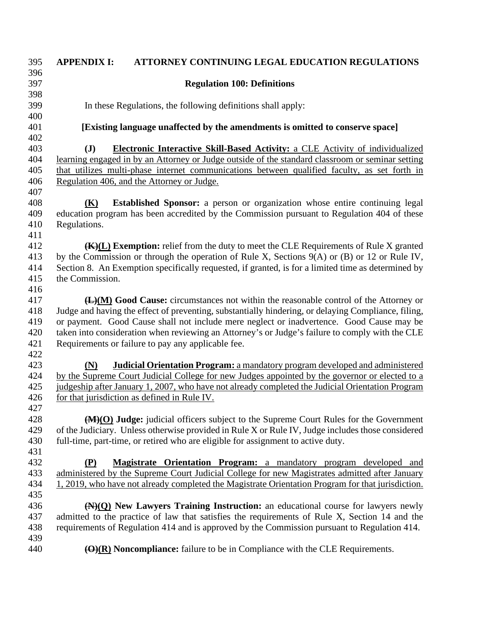## **APPENDIX I: ATTORNEY CONTINUING LEGAL EDUCATION REGULATIONS Regulation 100: Definitions**  In these Regulations, the following definitions shall apply: **[Existing language unaffected by the amendments is omitted to conserve space] (J) Electronic Interactive Skill-Based Activity:** a CLE Activity of individualized learning engaged in by an Attorney or Judge outside of the standard classroom or seminar setting that utilizes multi-phase internet communications between qualified faculty, as set forth in Regulation 406, and the Attorney or Judge. **(K) Established Sponsor:** a person or organization whose entire continuing legal education program has been accredited by the Commission pursuant to Regulation 404 of these Regulations. **(K)(L) Exemption:** relief from the duty to meet the CLE Requirements of Rule X granted by the Commission or through the operation of Rule X, Sections 9(A) or (B) or 12 or Rule IV, Section 8. An Exemption specifically requested, if granted, is for a limited time as determined by the Commission. **(L)(M) Good Cause:** circumstances not within the reasonable control of the Attorney or Judge and having the effect of preventing, substantially hindering, or delaying Compliance, filing, or payment. Good Cause shall not include mere neglect or inadvertence. Good Cause may be taken into consideration when reviewing an Attorney's or Judge's failure to comply with the CLE Requirements or failure to pay any applicable fee. **(N) Judicial Orientation Program:** a mandatory program developed and administered by the Supreme Court Judicial College for new Judges appointed by the governor or elected to a judgeship after January 1, 2007, who have not already completed the Judicial Orientation Program for that jurisdiction as defined in Rule IV. **(M)(O) Judge:** judicial officers subject to the Supreme Court Rules for the Government of the Judiciary. Unless otherwise provided in Rule X or Rule IV, Judge includes those considered full-time, part-time, or retired who are eligible for assignment to active duty. **(P) Magistrate Orientation Program:** a mandatory program developed and administered by the Supreme Court Judicial College for new Magistrates admitted after January 1, 2019, who have not already completed the Magistrate Orientation Program for that jurisdiction. **(N)(Q) New Lawyers Training Instruction:** an educational course for lawyers newly admitted to the practice of law that satisfies the requirements of Rule X, Section 14 and the requirements of Regulation 414 and is approved by the Commission pursuant to Regulation 414. **(O)(R) Noncompliance:** failure to be in Compliance with the CLE Requirements.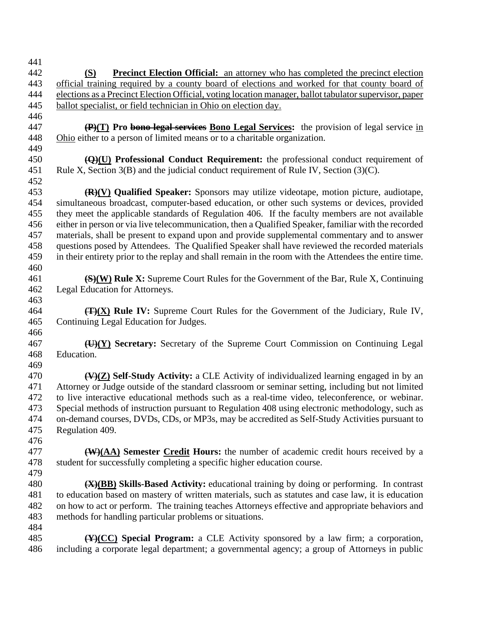**(S) Precinct Election Official:** an attorney who has completed the precinct election official training required by a county board of elections and worked for that county board of elections as a Precinct Election Official, voting location manager, ballot tabulator supervisor, paper ballot specialist, or field technician in Ohio on election day. **(P)(T) Pro bono legal services Bono Legal Services:** the provision of legal service in Ohio either to a person of limited means or to a charitable organization. **(Q)(U) Professional Conduct Requirement:** the professional conduct requirement of Rule X, Section 3(B) and the judicial conduct requirement of Rule IV, Section (3)(C). **(R)(V) Qualified Speaker:** Sponsors may utilize videotape, motion picture, audiotape, simultaneous broadcast, computer-based education, or other such systems or devices, provided they meet the applicable standards of Regulation 406. If the faculty members are not available either in person or via live telecommunication, then a Qualified Speaker, familiar with the recorded materials, shall be present to expand upon and provide supplemental commentary and to answer questions posed by Attendees. The Qualified Speaker shall have reviewed the recorded materials in their entirety prior to the replay and shall remain in the room with the Attendees the entire time. **(S)(W) Rule X:** Supreme Court Rules for the Government of the Bar, Rule X, Continuing Legal Education for Attorneys. **(T)(X) Rule IV:** Supreme Court Rules for the Government of the Judiciary, Rule IV, Continuing Legal Education for Judges. **(U)(Y) Secretary:** Secretary of the Supreme Court Commission on Continuing Legal Education. **(V)(Z) Self-Study Activity:** a CLE Activity of individualized learning engaged in by an Attorney or Judge outside of the standard classroom or seminar setting, including but not limited to live interactive educational methods such as a real-time video, teleconference, or webinar. Special methods of instruction pursuant to Regulation 408 using electronic methodology, such as on-demand courses, DVDs, CDs, or MP3s, may be accredited as Self-Study Activities pursuant to Regulation 409. **(W)(AA) Semester Credit Hours:** the number of academic credit hours received by a student for successfully completing a specific higher education course. **(X)(BB) Skills-Based Activity:** educational training by doing or performing. In contrast to education based on mastery of written materials, such as statutes and case law, it is education on how to act or perform. The training teaches Attorneys effective and appropriate behaviors and methods for handling particular problems or situations. **(Y)(CC) Special Program:** a CLE Activity sponsored by a law firm; a corporation, including a corporate legal department; a governmental agency; a group of Attorneys in public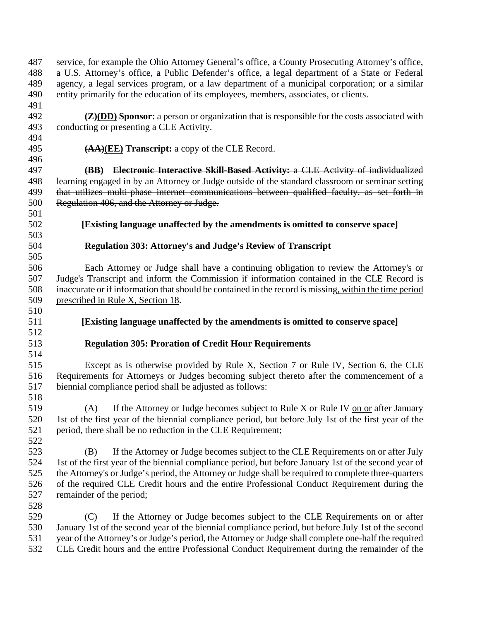service, for example the Ohio Attorney General's office, a County Prosecuting Attorney's office, a U.S. Attorney's office, a Public Defender's office, a legal department of a State or Federal agency, a legal services program, or a law department of a municipal corporation; or a similar entity primarily for the education of its employees, members, associates, or clients. **(Z)(DD) Sponsor:** a person or organization that is responsible for the costs associated with conducting or presenting a CLE Activity. **(AA)(EE) Transcript:** a copy of the CLE Record. **(BB) Electronic Interactive Skill-Based Activity:** a CLE Activity of individualized 498 learning engaged in by an Attorney or Judge outside of the standard classroom or seminar setting 499 that utilizes multi-phase internet communications between qualified faculty, as set forth in Regulation 406, and the Attorney or Judge. **[Existing language unaffected by the amendments is omitted to conserve space] Regulation 303: Attorney's and Judge's Review of Transcript** Each Attorney or Judge shall have a continuing obligation to review the Attorney's or Judge's Transcript and inform the Commission if information contained in the CLE Record is inaccurate or if information that should be contained in the record is missing, within the time period prescribed in Rule X, Section 18. **[Existing language unaffected by the amendments is omitted to conserve space] Regulation 305: Proration of Credit Hour Requirements**  Except as is otherwise provided by Rule X, Section 7 or Rule IV, Section 6, the CLE Requirements for Attorneys or Judges becoming subject thereto after the commencement of a biennial compliance period shall be adjusted as follows: (A) If the Attorney or Judge becomes subject to Rule X or Rule IV on or after January 1st of the first year of the biennial compliance period, but before July 1st of the first year of the period, there shall be no reduction in the CLE Requirement; (B) If the Attorney or Judge becomes subject to the CLE Requirements on or after July 1st of the first year of the biennial compliance period, but before January 1st of the second year of the Attorney's or Judge's period, the Attorney or Judge shall be required to complete three-quarters of the required CLE Credit hours and the entire Professional Conduct Requirement during the remainder of the period; (C) If the Attorney or Judge becomes subject to the CLE Requirements on or after January 1st of the second year of the biennial compliance period, but before July 1st of the second year of the Attorney's or Judge's period, the Attorney or Judge shall complete one-half the required CLE Credit hours and the entire Professional Conduct Requirement during the remainder of the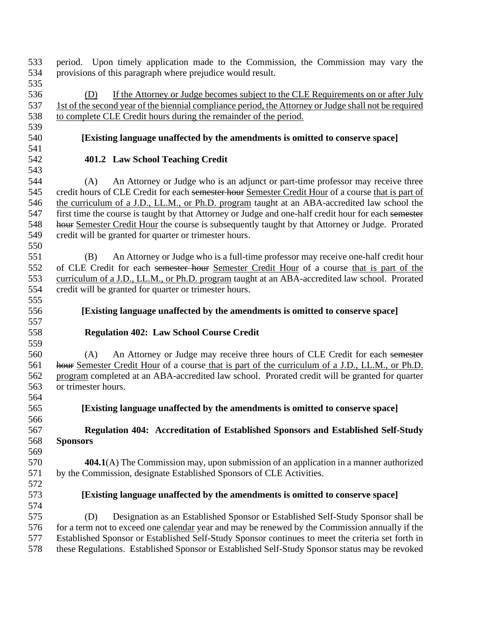provisions of this paragraph where prejudice would result. (D) If the Attorney or Judge becomes subject to the CLE Requirements on or after July 1st of the second year of the biennial compliance period, the Attorney or Judge shall not be required to complete CLE Credit hours during the remainder of the period. **[Existing language unaffected by the amendments is omitted to conserve space] 401.2 Law School Teaching Credit** (A) An Attorney or Judge who is an adjunct or part-time professor may receive three 545 credit hours of CLE Credit for each semester hour Semester Credit Hour of a course that is part of 546 the curriculum of a J.D., LL.M., or Ph.D. program taught at an ABA-accredited law school the 547 first time the course is taught by that Attorney or Judge and one-half credit hour for each semester 548 hour Semester Credit Hour the course is subsequently taught by that Attorney or Judge. Prorated credit will be granted for quarter or trimester hours. (B) An Attorney or Judge who is a full-time professor may receive one-half credit hour of CLE Credit for each semester hour Semester Credit Hour of a course that is part of the curriculum of a J.D., LL.M., or Ph.D. program taught at an ABA-accredited law school. Prorated credit will be granted for quarter or trimester hours. **[Existing language unaffected by the amendments is omitted to conserve space] Regulation 402: Law School Course Credit** (A) An Attorney or Judge may receive three hours of CLE Credit for each semester 561 hour Semester Credit Hour of a course that is part of the curriculum of a J.D., LL.M., or Ph.D. program completed at an ABA-accredited law school. Prorated credit will be granted for quarter or trimester hours. **[Existing language unaffected by the amendments is omitted to conserve space] Regulation 404: Accreditation of Established Sponsors and Established Self-Study Sponsors 404.1**(A) The Commission may, upon submission of an application in a manner authorized by the Commission, designate Established Sponsors of CLE Activities. **[Existing language unaffected by the amendments is omitted to conserve space]** (D) Designation as an Established Sponsor or Established Self-Study Sponsor shall be for a term not to exceed one calendar year and may be renewed by the Commission annually if the Established Sponsor or Established Self-Study Sponsor continues to meet the criteria set forth in these Regulations. Established Sponsor or Established Self-Study Sponsor status may be revoked

period. Upon timely application made to the Commission, the Commission may vary the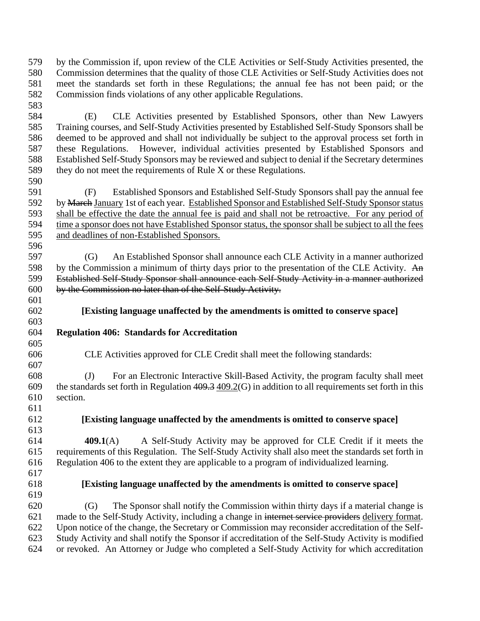by the Commission if, upon review of the CLE Activities or Self-Study Activities presented, the Commission determines that the quality of those CLE Activities or Self-Study Activities does not meet the standards set forth in these Regulations; the annual fee has not been paid; or the Commission finds violations of any other applicable Regulations. 

 (E) CLE Activities presented by Established Sponsors, other than New Lawyers Training courses, and Self-Study Activities presented by Established Self-Study Sponsors shall be deemed to be approved and shall not individually be subject to the approval process set forth in these Regulations. However, individual activities presented by Established Sponsors and Established Self-Study Sponsors may be reviewed and subject to denial if the Secretary determines they do not meet the requirements of Rule X or these Regulations. 

 (F) Established Sponsors and Established Self-Study Sponsors shall pay the annual fee 592 by March January 1st of each year. Established Sponsor and Established Self-Study Sponsor status shall be effective the date the annual fee is paid and shall not be retroactive. For any period of time a sponsor does not have Established Sponsor status, the sponsor shall be subject to all the fees and deadlines of non-Established Sponsors. 

 (G) An Established Sponsor shall announce each CLE Activity in a manner authorized 598 by the Commission a minimum of thirty days prior to the presentation of the CLE Activity. An Established Self-Study Sponsor shall announce each Self-Study Activity in a manner authorized by the Commission no later than of the Self-Study Activity.

- **[Existing language unaffected by the amendments is omitted to conserve space]**
- **Regulation 406: Standards for Accreditation**
- CLE Activities approved for CLE Credit shall meet the following standards:

 (J) For an Electronic Interactive Skill-Based Activity, the program faculty shall meet 609 the standards set forth in Regulation  $409.3 \times 409.2$  (G) in addition to all requirements set forth in this section.

**[Existing language unaffected by the amendments is omitted to conserve space]**

 **409.1**(A) A Self-Study Activity may be approved for CLE Credit if it meets the requirements of this Regulation. The Self-Study Activity shall also meet the standards set forth in Regulation 406 to the extent they are applicable to a program of individualized learning.

- 
- 

**[Existing language unaffected by the amendments is omitted to conserve space]**

 (G) The Sponsor shall notify the Commission within thirty days if a material change is made to the Self-Study Activity, including a change in internet service providers delivery format. Upon notice of the change, the Secretary or Commission may reconsider accreditation of the Self- Study Activity and shall notify the Sponsor if accreditation of the Self-Study Activity is modified or revoked. An Attorney or Judge who completed a Self-Study Activity for which accreditation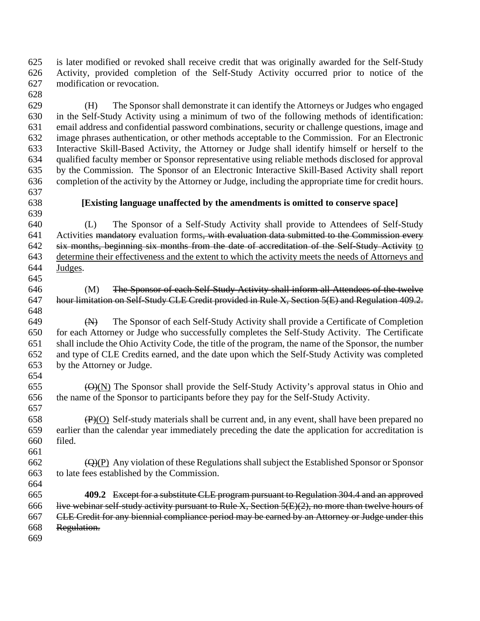is later modified or revoked shall receive credit that was originally awarded for the Self-Study Activity, provided completion of the Self-Study Activity occurred prior to notice of the modification or revocation.

- (H) The Sponsor shall demonstrate it can identify the Attorneys or Judges who engaged in the Self-Study Activity using a minimum of two of the following methods of identification: email address and confidential password combinations, security or challenge questions, image and image phrases authentication, or other methods acceptable to the Commission. For an Electronic Interactive Skill-Based Activity, the Attorney or Judge shall identify himself or herself to the qualified faculty member or Sponsor representative using reliable methods disclosed for approval by the Commission. The Sponsor of an Electronic Interactive Skill-Based Activity shall report completion of the activity by the Attorney or Judge, including the appropriate time for credit hours.
- 

## **[Existing language unaffected by the amendments is omitted to conserve space]**

 (L) The Sponsor of a Self-Study Activity shall provide to Attendees of Self-Study 641 Activities mandatory evaluation forms, with evaluation data submitted to the Commission every six months, beginning six months from the date of accreditation of the Self-Study Activity to determine their effectiveness and the extent to which the activity meets the needs of Attorneys and Judges.

 (M) The Sponsor of each Self-Study Activity shall inform all Attendees of the twelve hour limitation on Self-Study CLE Credit provided in Rule X, Section 5(E) and Regulation 409.2. 

 (N) The Sponsor of each Self-Study Activity shall provide a Certificate of Completion for each Attorney or Judge who successfully completes the Self-Study Activity. The Certificate shall include the Ohio Activity Code, the title of the program, the name of the Sponsor, the number and type of CLE Credits earned, and the date upon which the Self-Study Activity was completed by the Attorney or Judge. 

655  $\Theta(N)$  The Sponsor shall provide the Self-Study Activity's approval status in Ohio and the name of the Sponsor to participants before they pay for the Self-Study Activity.

  $\overline{(P)}(O)$  Self-study materials shall be current and, in any event, shall have been prepared no earlier than the calendar year immediately preceding the date the application for accreditation is filed.

 ( $\Theta$ )(P) Any violation of these Regulations shall subject the Established Sponsor or Sponsor to late fees established by the Commission. 

 **409.2** Except for a substitute CLE program pursuant to Regulation 304.4 and an approved live webinar self-study activity pursuant to Rule X, Section 5(E)(2), no more than twelve hours of CLE Credit for any biennial compliance period may be earned by an Attorney or Judge under this Regulation.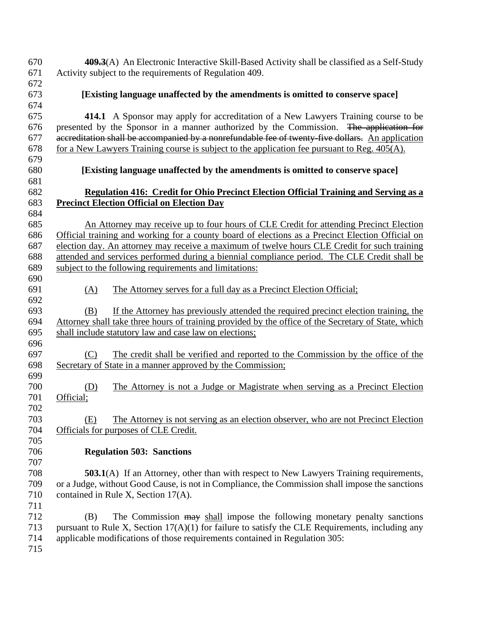**409.3**(A) An Electronic Interactive Skill-Based Activity shall be classified as a Self-Study Activity subject to the requirements of Regulation 409. **[Existing language unaffected by the amendments is omitted to conserve space] 414.1** A Sponsor may apply for accreditation of a New Lawyers Training course to be presented by the Sponsor in a manner authorized by the Commission. The application for accreditation shall be accompanied by a nonrefundable fee of twenty-five dollars. An application for a New Lawyers Training course is subject to the application fee pursuant to Reg. 405(A). **[Existing language unaffected by the amendments is omitted to conserve space] Regulation 416: Credit for Ohio Precinct Election Official Training and Serving as a Precinct Election Official on Election Day** An Attorney may receive up to four hours of CLE Credit for attending Precinct Election Official training and working for a county board of elections as a Precinct Election Official on election day. An attorney may receive a maximum of twelve hours CLE Credit for such training attended and services performed during a biennial compliance period. The CLE Credit shall be subject to the following requirements and limitations: (A) The Attorney serves for a full day as a Precinct Election Official; (B) If the Attorney has previously attended the required precinct election training, the Attorney shall take three hours of training provided by the office of the Secretary of State, which shall include statutory law and case law on elections; (C) The credit shall be verified and reported to the Commission by the office of the Secretary of State in a manner approved by the Commission; (D) The Attorney is not a Judge or Magistrate when serving as a Precinct Election Official; (E) The Attorney is not serving as an election observer, who are not Precinct Election Officials for purposes of CLE Credit. **Regulation 503: Sanctions 503.1**(A) If an Attorney, other than with respect to New Lawyers Training requirements, or a Judge, without Good Cause, is not in Compliance, the Commission shall impose the sanctions 710 contained in Rule X, Section 17(A). (B) The Commission may shall impose the following monetary penalty sanctions 713 pursuant to Rule X, Section  $17(A)(1)$  for failure to satisfy the CLE Requirements, including any applicable modifications of those requirements contained in Regulation 305: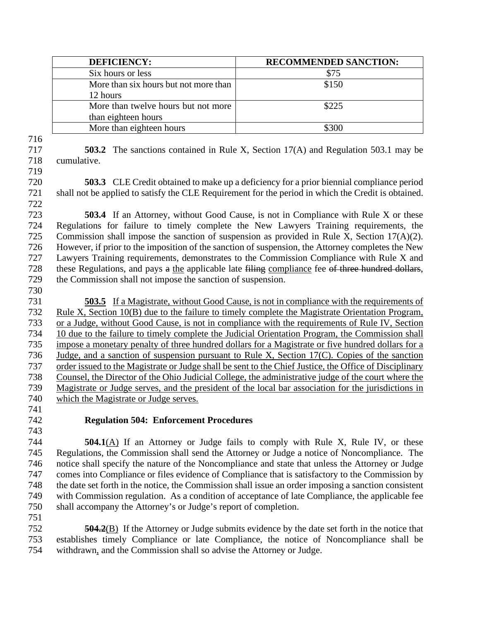| <b>DEFICIENCY:</b>                    | <b>RECOMMENDED SANCTION:</b> |
|---------------------------------------|------------------------------|
| Six hours or less                     | \$75                         |
| More than six hours but not more than | \$150                        |
| 12 hours                              |                              |
| More than twelve hours but not more   | \$225                        |
| than eighteen hours                   |                              |
| More than eighteen hours              | \$300                        |

 **503.2** The sanctions contained in Rule X, Section 17(A) and Regulation 503.1 may be cumulative.

**503.3** CLE Credit obtained to make up a deficiency for a prior biennial compliance period shall not be applied to satisfy the CLE Requirement for the period in which the Credit is obtained. 

 **503.4** If an Attorney, without Good Cause, is not in Compliance with Rule X or these Regulations for failure to timely complete the New Lawyers Training requirements, the Commission shall impose the sanction of suspension as provided in Rule X, Section 17(A)(2). However, if prior to the imposition of the sanction of suspension, the Attorney completes the New Lawyers Training requirements, demonstrates to the Commission Compliance with Rule X and 728 these Regulations, and pays a the applicable late filing compliance fee of three hundred dollars, the Commission shall not impose the sanction of suspension.

 **503.5** If a Magistrate, without Good Cause, is not in compliance with the requirements of Rule X, Section 10(B) due to the failure to timely complete the Magistrate Orientation Program, or a Judge, without Good Cause, is not in compliance with the requirements of Rule IV, Section 10 due to the failure to timely complete the Judicial Orientation Program, the Commission shall impose a monetary penalty of three hundred dollars for a Magistrate or five hundred dollars for a Judge, and a sanction of suspension pursuant to Rule X, Section 17(C). Copies of the sanction order issued to the Magistrate or Judge shall be sent to the Chief Justice, the Office of Disciplinary Counsel, the Director of the Ohio Judicial College, the administrative judge of the court where the Magistrate or Judge serves, and the president of the local bar association for the jurisdictions in which the Magistrate or Judge serves.

# **Regulation 504: Enforcement Procedures**

 **504.1**(A) If an Attorney or Judge fails to comply with Rule X, Rule IV, or these Regulations, the Commission shall send the Attorney or Judge a notice of Noncompliance. The notice shall specify the nature of the Noncompliance and state that unless the Attorney or Judge comes into Compliance or files evidence of Compliance that is satisfactory to the Commission by the date set forth in the notice, the Commission shall issue an order imposing a sanction consistent with Commission regulation. As a condition of acceptance of late Compliance, the applicable fee shall accompany the Attorney's or Judge's report of completion.

 **504.2**(B) If the Attorney or Judge submits evidence by the date set forth in the notice that establishes timely Compliance or late Compliance, the notice of Noncompliance shall be withdrawn, and the Commission shall so advise the Attorney or Judge.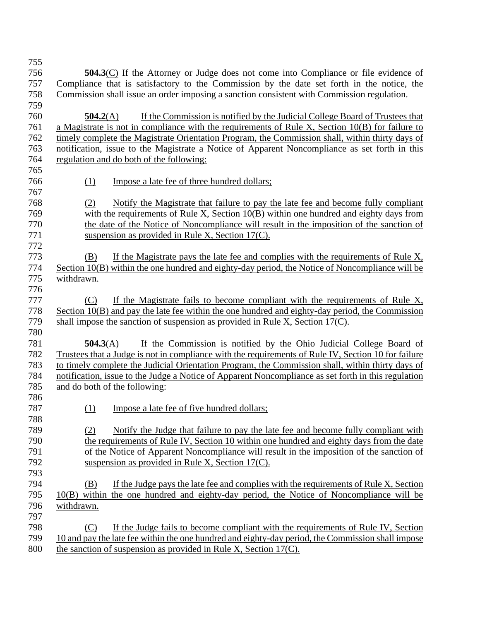| 755 |                                                                                                     |
|-----|-----------------------------------------------------------------------------------------------------|
| 756 | $\overline{504.3}$ (C) If the Attorney or Judge does not come into Compliance or file evidence of   |
| 757 | Compliance that is satisfactory to the Commission by the date set forth in the notice, the          |
| 758 | Commission shall issue an order imposing a sanction consistent with Commission regulation.          |
| 759 |                                                                                                     |
| 760 | If the Commission is notified by the Judicial College Board of Trustees that<br>504.2(A)            |
| 761 | a Magistrate is not in compliance with the requirements of Rule X, Section 10(B) for failure to     |
| 762 | timely complete the Magistrate Orientation Program, the Commission shall, within thirty days of     |
| 763 | notification, issue to the Magistrate a Notice of Apparent Noncompliance as set forth in this       |
| 764 | regulation and do both of the following:                                                            |
| 765 |                                                                                                     |
| 766 | (1)<br>Impose a late fee of three hundred dollars;                                                  |
| 767 |                                                                                                     |
| 768 | Notify the Magistrate that failure to pay the late fee and become fully compliant<br>(2)            |
| 769 | with the requirements of Rule X, Section 10(B) within one hundred and eighty days from              |
| 770 | the date of the Notice of Noncompliance will result in the imposition of the sanction of            |
| 771 | suspension as provided in Rule X, Section $17(C)$ .                                                 |
| 772 |                                                                                                     |
| 773 | (B)<br>If the Magistrate pays the late fee and complies with the requirements of Rule X,            |
| 774 | Section 10(B) within the one hundred and eighty-day period, the Notice of Noncompliance will be     |
| 775 | withdrawn.                                                                                          |
| 776 |                                                                                                     |
| 777 | If the Magistrate fails to become compliant with the requirements of Rule $X$ ,<br>(C)              |
| 778 | Section $10(B)$ and pay the late fee within the one hundred and eighty-day period, the Commission   |
| 779 | shall impose the sanction of suspension as provided in Rule X, Section $17(C)$ .                    |
| 780 |                                                                                                     |
| 781 | If the Commission is notified by the Ohio Judicial College Board of<br>504.3(A)                     |
| 782 | Trustees that a Judge is not in compliance with the requirements of Rule IV, Section 10 for failure |
| 783 | to timely complete the Judicial Orientation Program, the Commission shall, within thirty days of    |
| 784 | notification, issue to the Judge a Notice of Apparent Noncompliance as set forth in this regulation |
| 785 | and do both of the following:                                                                       |
| 786 |                                                                                                     |
| 787 | (1) Impose a late fee of five hundred dollars;                                                      |
| 788 |                                                                                                     |
| 789 | Notify the Judge that failure to pay the late fee and become fully compliant with<br>(2)            |
| 790 | the requirements of Rule IV, Section 10 within one hundred and eighty days from the date            |
| 791 | of the Notice of Apparent Noncompliance will result in the imposition of the sanction of            |
| 792 | suspension as provided in Rule X, Section $17(C)$ .                                                 |
| 793 |                                                                                                     |
| 794 | If the Judge pays the late fee and complies with the requirements of Rule X, Section<br>(B)         |
| 795 | 10(B) within the one hundred and eighty-day period, the Notice of Noncompliance will be             |
| 796 | withdrawn.                                                                                          |
| 797 |                                                                                                     |
| 798 | If the Judge fails to become compliant with the requirements of Rule IV, Section<br>(C)             |
| 799 | 10 and pay the late fee within the one hundred and eighty-day period, the Commission shall impose   |
| 800 | the sanction of suspension as provided in Rule X, Section $17(C)$ .                                 |